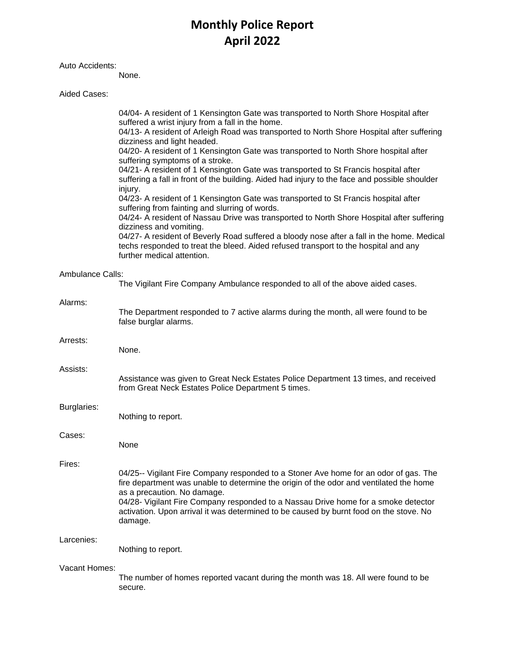# **Monthly Police Report April 2022**

### Auto Accidents:

None.

### Aided Cases:

|                         | 04/04- A resident of 1 Kensington Gate was transported to North Shore Hospital after<br>suffered a wrist injury from a fall in the home.<br>04/13- A resident of Arleigh Road was transported to North Shore Hospital after suffering<br>dizziness and light headed.<br>04/20- A resident of 1 Kensington Gate was transported to North Shore hospital after<br>suffering symptoms of a stroke.<br>04/21- A resident of 1 Kensington Gate was transported to St Francis hospital after<br>suffering a fall in front of the building. Aided had injury to the face and possible shoulder<br>injury.<br>04/23- A resident of 1 Kensington Gate was transported to St Francis hospital after<br>suffering from fainting and slurring of words.<br>04/24- A resident of Nassau Drive was transported to North Shore Hospital after suffering<br>dizziness and vomiting.<br>04/27- A resident of Beverly Road suffered a bloody nose after a fall in the home. Medical<br>techs responded to treat the bleed. Aided refused transport to the hospital and any<br>further medical attention. |
|-------------------------|----------------------------------------------------------------------------------------------------------------------------------------------------------------------------------------------------------------------------------------------------------------------------------------------------------------------------------------------------------------------------------------------------------------------------------------------------------------------------------------------------------------------------------------------------------------------------------------------------------------------------------------------------------------------------------------------------------------------------------------------------------------------------------------------------------------------------------------------------------------------------------------------------------------------------------------------------------------------------------------------------------------------------------------------------------------------------------------|
| <b>Ambulance Calls:</b> | The Vigilant Fire Company Ambulance responded to all of the above aided cases.                                                                                                                                                                                                                                                                                                                                                                                                                                                                                                                                                                                                                                                                                                                                                                                                                                                                                                                                                                                                         |
| Alarms:                 | The Department responded to 7 active alarms during the month, all were found to be<br>false burglar alarms.                                                                                                                                                                                                                                                                                                                                                                                                                                                                                                                                                                                                                                                                                                                                                                                                                                                                                                                                                                            |
| Arrests:                | None.                                                                                                                                                                                                                                                                                                                                                                                                                                                                                                                                                                                                                                                                                                                                                                                                                                                                                                                                                                                                                                                                                  |
| Assists:                | Assistance was given to Great Neck Estates Police Department 13 times, and received<br>from Great Neck Estates Police Department 5 times.                                                                                                                                                                                                                                                                                                                                                                                                                                                                                                                                                                                                                                                                                                                                                                                                                                                                                                                                              |
| Burglaries:             | Nothing to report.                                                                                                                                                                                                                                                                                                                                                                                                                                                                                                                                                                                                                                                                                                                                                                                                                                                                                                                                                                                                                                                                     |
| Cases:                  | None                                                                                                                                                                                                                                                                                                                                                                                                                                                                                                                                                                                                                                                                                                                                                                                                                                                                                                                                                                                                                                                                                   |
| Fires:                  | 04/25-- Vigilant Fire Company responded to a Stoner Ave home for an odor of gas. The<br>fire department was unable to determine the origin of the odor and ventilated the home<br>as a precaution. No damage.<br>04/28- Vigilant Fire Company responded to a Nassau Drive home for a smoke detector<br>activation. Upon arrival it was determined to be caused by burnt food on the stove. No<br>damage.                                                                                                                                                                                                                                                                                                                                                                                                                                                                                                                                                                                                                                                                               |
| Larcenies:              | Nothing to report.                                                                                                                                                                                                                                                                                                                                                                                                                                                                                                                                                                                                                                                                                                                                                                                                                                                                                                                                                                                                                                                                     |
| Vacant Homes:           | The number of homes reported vacant during the month was 18. All were found to be<br>secure.                                                                                                                                                                                                                                                                                                                                                                                                                                                                                                                                                                                                                                                                                                                                                                                                                                                                                                                                                                                           |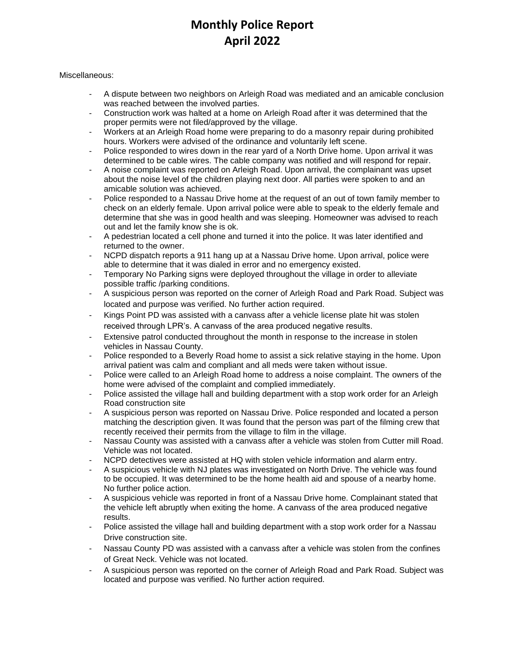# **Monthly Police Report April 2022**

Miscellaneous:

- A dispute between two neighbors on Arleigh Road was mediated and an amicable conclusion was reached between the involved parties.
- Construction work was halted at a home on Arleigh Road after it was determined that the proper permits were not filed/approved by the village.
- Workers at an Arleigh Road home were preparing to do a masonry repair during prohibited hours. Workers were advised of the ordinance and voluntarily left scene.
- Police responded to wires down in the rear yard of a North Drive home. Upon arrival it was determined to be cable wires. The cable company was notified and will respond for repair.
- A noise complaint was reported on Arleigh Road. Upon arrival, the complainant was upset about the noise level of the children playing next door. All parties were spoken to and an amicable solution was achieved.
- Police responded to a Nassau Drive home at the request of an out of town family member to check on an elderly female. Upon arrival police were able to speak to the elderly female and determine that she was in good health and was sleeping. Homeowner was advised to reach out and let the family know she is ok.
- A pedestrian located a cell phone and turned it into the police. It was later identified and returned to the owner.
- NCPD dispatch reports a 911 hang up at a Nassau Drive home. Upon arrival, police were able to determine that it was dialed in error and no emergency existed.
- Temporary No Parking signs were deployed throughout the village in order to alleviate possible traffic /parking conditions.
- A suspicious person was reported on the corner of Arleigh Road and Park Road. Subject was located and purpose was verified. No further action required.
- Kings Point PD was assisted with a canvass after a vehicle license plate hit was stolen received through LPR's. A canvass of the area produced negative results.
- Extensive patrol conducted throughout the month in response to the increase in stolen vehicles in Nassau County.
- Police responded to a Beverly Road home to assist a sick relative staying in the home. Upon arrival patient was calm and compliant and all meds were taken without issue.
- Police were called to an Arleigh Road home to address a noise complaint. The owners of the home were advised of the complaint and complied immediately.
- Police assisted the village hall and building department with a stop work order for an Arleigh Road construction site
- A suspicious person was reported on Nassau Drive. Police responded and located a person matching the description given. It was found that the person was part of the filming crew that recently received their permits from the village to film in the village.
- Nassau County was assisted with a canvass after a vehicle was stolen from Cutter mill Road. Vehicle was not located.
- NCPD detectives were assisted at HQ with stolen vehicle information and alarm entry.
- A suspicious vehicle with NJ plates was investigated on North Drive. The vehicle was found to be occupied. It was determined to be the home health aid and spouse of a nearby home. No further police action.
- A suspicious vehicle was reported in front of a Nassau Drive home. Complainant stated that the vehicle left abruptly when exiting the home. A canvass of the area produced negative results.
- Police assisted the village hall and building department with a stop work order for a Nassau Drive construction site.
- Nassau County PD was assisted with a canvass after a vehicle was stolen from the confines of Great Neck. Vehicle was not located.
- A suspicious person was reported on the corner of Arleigh Road and Park Road. Subject was located and purpose was verified. No further action required.